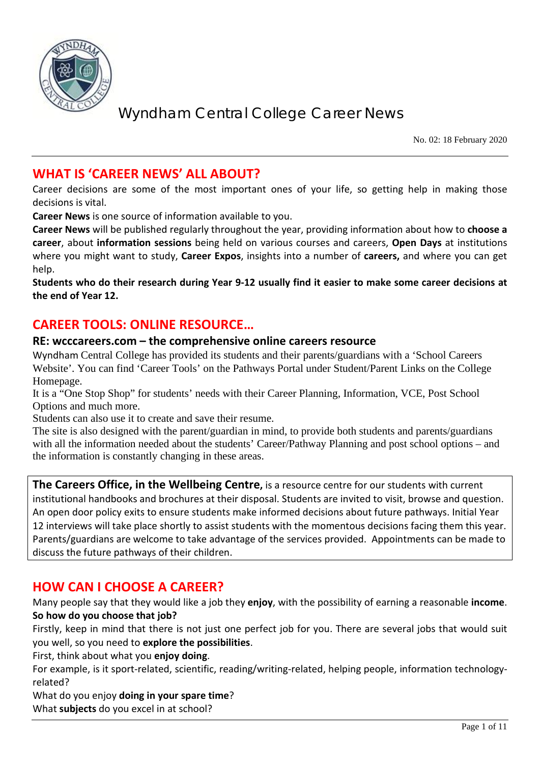

No. 02: 18 February 2020

## **WHAT IS 'CAREER NEWS' ALL ABOUT?**

Career decisions are some of the most important ones of your life, so getting help in making those decisions is vital.

**Career News** is one source of information available to you.

**Career News** will be published regularly throughout the year, providing information about how to **choose a career**, about **information sessions** being held on various courses and careers, **Open Days** at institutions where you might want to study, **Career Expos**, insights into a number of **careers,** and where you can get help.

**Students who do their research during Year 9-12 usually find it easier to make some career decisions at the end of Year 12.**

## **CAREER TOOLS: ONLINE RESOURCE…**

#### **RE: wcccareers.com – the comprehensive online careers resource**

Wyndham Central College has provided its students and their parents/guardians with a 'School Careers Website'. You can find 'Career Tools' on the Pathways Portal under Student/Parent Links on the College Homepage.

It is a "One Stop Shop" for students' needs with their Career Planning, Information, VCE, Post School Options and much more.

Students can also use it to create and save their resume.

The site is also designed with the parent/guardian in mind, to provide both students and parents/guardians with all the information needed about the students' Career/Pathway Planning and post school options – and the information is constantly changing in these areas.

**The Careers Office, in the Wellbeing Centre,** is a resource centre for our students with current institutional handbooks and brochures at their disposal. Students are invited to visit, browse and question. An open door policy exits to ensure students make informed decisions about future pathways. Initial Year 12 interviews will take place shortly to assist students with the momentous decisions facing them this year. Parents/guardians are welcome to take advantage of the services provided. Appointments can be made to discuss the future pathways of their children.

## **HOW CAN I CHOOSE A CAREER?**

Many people say that they would like a job they **enjoy**, with the possibility of earning a reasonable **income**. **So how do you choose that job?**

Firstly, keep in mind that there is not just one perfect job for you. There are several jobs that would suit you well, so you need to **explore the possibilities**.

First, think about what you **enjoy doing**.

For example, is it sport-related, scientific, reading/writing-related, helping people, information technologyrelated?

What do you enjoy **doing in your spare time**?

What **subjects** do you excel in at school?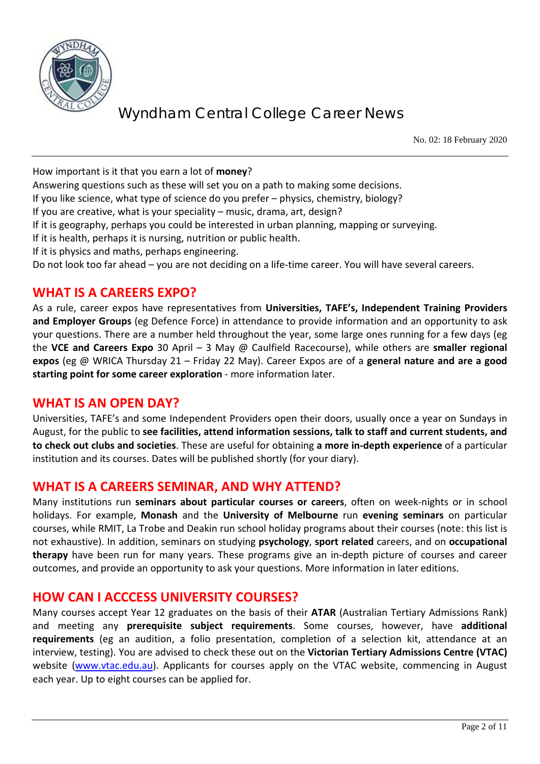

No. 02: 18 February 2020

How important is it that you earn a lot of **money**?

Answering questions such as these will set you on a path to making some decisions.

If you like science, what type of science do you prefer – physics, chemistry, biology?

If you are creative, what is your speciality – music, drama, art, design?

If it is geography, perhaps you could be interested in urban planning, mapping or surveying.

If it is health, perhaps it is nursing, nutrition or public health.

If it is physics and maths, perhaps engineering.

Do not look too far ahead – you are not deciding on a life-time career. You will have several careers.

## **WHAT IS A CAREERS EXPO?**

As a rule, career expos have representatives from **Universities, TAFE's, Independent Training Providers and Employer Groups** (eg Defence Force) in attendance to provide information and an opportunity to ask your questions. There are a number held throughout the year, some large ones running for a few days (eg the **VCE and Careers Expo** 30 April – 3 May @ Caulfield Racecourse), while others are **smaller regional expos** (eg @ WRICA Thursday 21 – Friday 22 May). Career Expos are of a **general nature and are a good starting point for some career exploration** - more information later.

### **WHAT IS AN OPEN DAY?**

Universities, TAFE's and some Independent Providers open their doors, usually once a year on Sundays in August, for the public to **see facilities, attend information sessions, talk to staff and current students, and to check out clubs and societies**. These are useful for obtaining **a more in-depth experience** of a particular institution and its courses. Dates will be published shortly (for your diary).

### **WHAT IS A CAREERS SEMINAR, AND WHY ATTEND?**

Many institutions run **seminars about particular courses or careers**, often on week-nights or in school holidays. For example, **Monash** and the **University of Melbourne** run **evening seminars** on particular courses, while RMIT, La Trobe and Deakin run school holiday programs about their courses (note: this list is not exhaustive). In addition, seminars on studying **psychology**, **sport related** careers, and on **occupational therapy** have been run for many years. These programs give an in-depth picture of courses and career outcomes, and provide an opportunity to ask your questions. More information in later editions.

### **HOW CAN I ACCCESS UNIVERSITY COURSES?**

Many courses accept Year 12 graduates on the basis of their **ATAR** (Australian Tertiary Admissions Rank) and meeting any **prerequisite subject requirements**. Some courses, however, have **additional requirements** (eg an audition, a folio presentation, completion of a selection kit, attendance at an interview, testing). You are advised to check these out on the **Victorian Tertiary Admissions Centre (VTAC)** website [\(www.vtac.edu.au\)](http://www.vtac.edu.au/). Applicants for courses apply on the VTAC website, commencing in August each year. Up to eight courses can be applied for.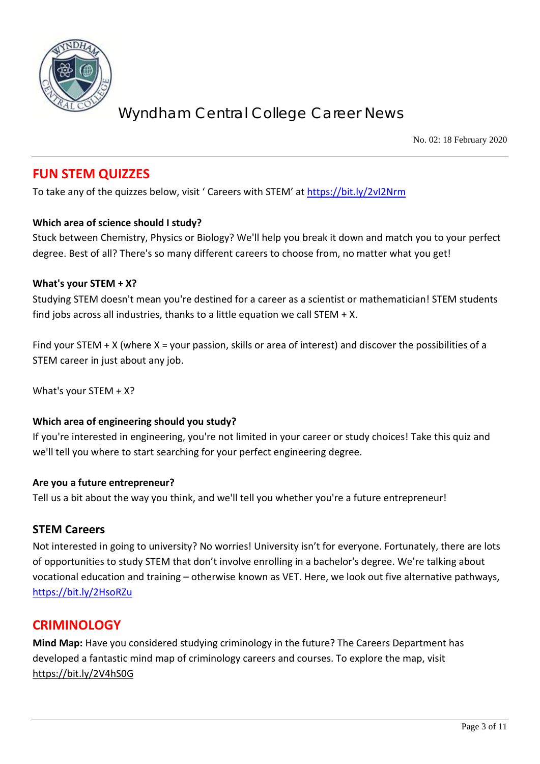

No. 02: 18 February 2020

## **FUN STEM QUIZZES**

To take any of the quizzes below, visit ' Careers with STEM' at<https://bit.ly/2vI2Nrm>

#### **Which area of science should I study?**

Stuck between Chemistry, Physics or Biology? We'll help you break it down and match you to your perfect degree. Best of all? There's so many different careers to choose from, no matter what you get!

#### **What's your STEM + X?**

Studying STEM doesn't mean you're destined for a career as a scientist or mathematician! STEM students find jobs across all industries, thanks to a little equation we call STEM  $+ X$ .

Find your STEM  $+ X$  (where X = your passion, skills or area of interest) and discover the possibilities of a STEM career in just about any job.

What's your STEM + X?

#### **Which area of engineering should you study?**

If you're interested in engineering, you're not limited in your career or study choices! Take this quiz and we'll tell you where to start searching for your perfect engineering degree.

#### **Are you a future entrepreneur?**

Tell us a bit about the way you think, and we'll tell you whether you're a future entrepreneur!

#### **STEM Careers**

Not interested in going to university? No worries! University isn't for everyone. Fortunately, there are lots of opportunities to study STEM that don't involve enrolling in a bachelor's degree. We're talking about vocational education and training – otherwise known as VET. Here, we look out five alternative pathways, <https://bit.ly/2HsoRZu>

### **CRIMINOLOGY**

**Mind Map:** Have you considered studying criminology in the future? The Careers Department has developed a fantastic mind map of criminology careers and courses. To explore the map, visit <https://bit.ly/2V4hS0G>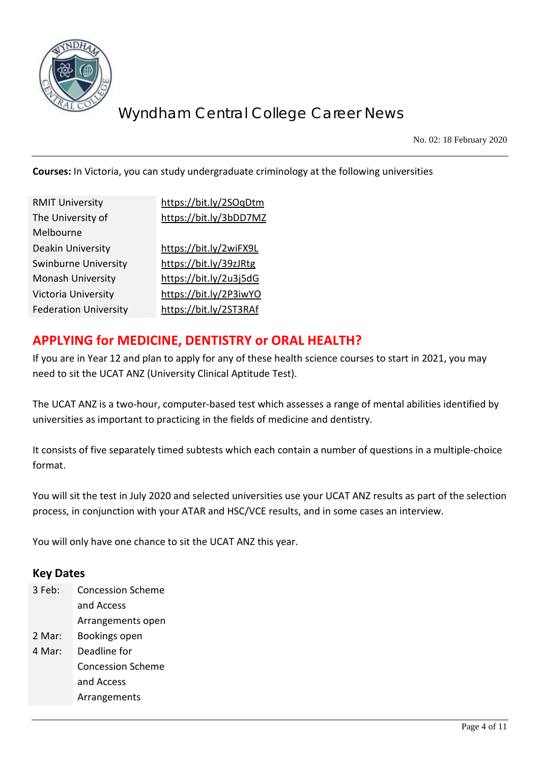

No. 02: 18 February 2020

**Courses:** In Victoria, you can study undergraduate criminology at the following universities

| <b>RMIT University</b>       | https://bit.ly/2SOqDtm |
|------------------------------|------------------------|
| The University of            | https://bit.ly/3bDD7MZ |
| Melbourne                    |                        |
| Deakin University            | https://bit.ly/2wiFX9L |
| Swinburne University         | https://bit.ly/39zJRtg |
| <b>Monash University</b>     | https://bit.ly/2u3j5dG |
| Victoria University          | https://bit.ly/2P3iwYO |
| <b>Federation University</b> | https://bit.ly/2ST3RAf |
|                              |                        |

## **APPLYING for MEDICINE, DENTISTRY or ORAL HEALTH?**

If you are in Year 12 and plan to apply for any of these health science courses to start in 2021, you may need to sit the UCAT ANZ (University Clinical Aptitude Test).

The UCAT ANZ is a two-hour, computer-based test which assesses a range of mental abilities identified by universities as important to practicing in the fields of medicine and dentistry.

It consists of five separately timed subtests which each contain a number of questions in a multiple-choice format.

You will sit the test in July 2020 and selected universities use your UCAT ANZ results as part of the selection process, in conjunction with your ATAR and HSC/VCE results, and in some cases an interview.

You will only have one chance to sit the UCAT ANZ this year.

#### **Key Dates**

- 3 Feb: Concession Scheme and Access Arrangements open
- 2 Mar: Bookings open
- 4 Mar: Deadline for Concession Scheme and Access Arrangements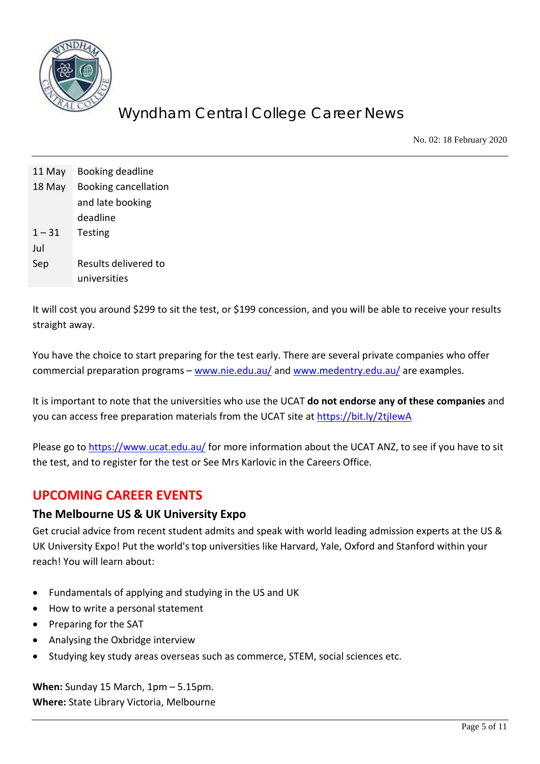

No. 02: 18 February 2020

| 11 May   | Booking deadline            |
|----------|-----------------------------|
| 18 May   | <b>Booking cancellation</b> |
|          | and late booking            |
|          | deadline                    |
| $1 - 31$ | <b>Testing</b>              |
| Jul      |                             |
| Sep      | Results delivered to        |
|          | universities                |

It will cost you around \$299 to sit the test, or \$199 concession, and you will be able to receive your results straight away.

You have the choice to start preparing for the test early. There are several private companies who offer commercial preparation programs – [www.nie.edu.au/](http://www.nie.edu.au/) and [www.medentry.edu.au/](http://www.medentry.edu.au/) are examples.

It is important to note that the universities who use the UCAT **do not endorse any of these companies** and you can access free preparation materials from the UCAT site at<https://bit.ly/2tjIewA>

Please go to <https://www.ucat.edu.au/> for more information about the UCAT ANZ, to see if you have to sit the test, and to register for the test or See Mrs Karlovic in the Careers Office.

## **UPCOMING CAREER EVENTS**

#### **The Melbourne US & UK University Expo**

Get crucial advice from recent student admits and speak with world leading admission experts at the US & UK University Expo! Put the world's top universities like Harvard, Yale, Oxford and Stanford within your reach! You will learn about:

- Fundamentals of applying and studying in the US and UK
- How to write a personal statement
- Preparing for the SAT
- Analysing the Oxbridge interview
- Studying key study areas overseas such as commerce, STEM, social sciences etc.

**When:** Sunday 15 March, 1pm – 5.15pm. **Where:** State Library Victoria, Melbourne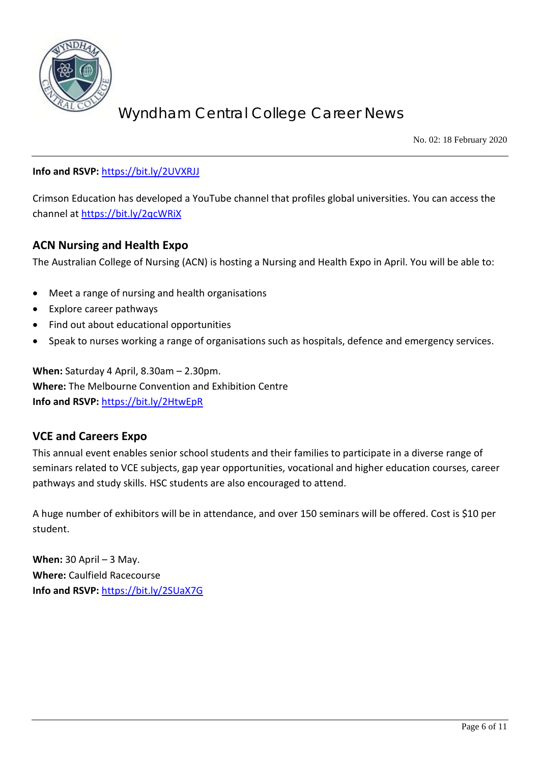

No. 02: 18 February 2020

#### **Info and RSVP:** <https://bit.ly/2UVXRJJ>

Crimson Education has developed a YouTube channel that profiles global universities. You can access the channel a[t https://bit.ly/2qcWRiX](https://bit.ly/2qcWRiX)

#### **ACN Nursing and Health Expo**

The Australian College of Nursing (ACN) is hosting a Nursing and Health Expo in April. You will be able to:

- Meet a range of nursing and health organisations
- Explore career pathways
- Find out about educational opportunities
- Speak to nurses working a range of organisations such as hospitals, defence and emergency services.

**When:** Saturday 4 April, 8.30am – 2.30pm. **Where:** The Melbourne Convention and Exhibition Centre **Info and RSVP:** <https://bit.ly/2HtwEpR>

#### **VCE and Careers Expo**

This annual event enables senior school students and their families to participate in a diverse range of seminars related to VCE subjects, gap year opportunities, vocational and higher education courses, career pathways and study skills. HSC students are also encouraged to attend.

A huge number of exhibitors will be in attendance, and over 150 seminars will be offered. Cost is \$10 per student.

**When:** 30 April – 3 May. **Where:** Caulfield Racecourse **Info and RSVP:** <https://bit.ly/2SUaX7G>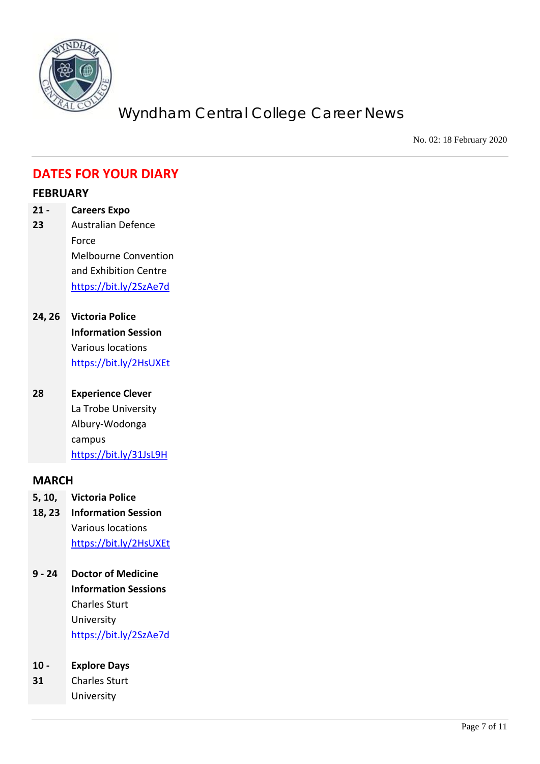

No. 02: 18 February 2020

## **DATES FOR YOUR DIARY**

#### **FEBRUARY**

- **21 - 23 Careers Expo** Australian Defence Force Melbourne Convention and Exhibition Centre <https://bit.ly/2SzAe7d>
- **24, 26 Victoria Police Information Session** Various locations <https://bit.ly/2HsUXEt>
- **28 Experience Clever** La Trobe University Albury-Wodonga campus <https://bit.ly/31JsL9H>

#### **MARCH**

- **5, 10, Victoria Police**
- **18, 23 Information Session** Various locations <https://bit.ly/2HsUXEt>
- **9 - 24 Doctor of Medicine Information Sessions** Charles Sturt University <https://bit.ly/2SzAe7d>
- **10 - Explore Days**
- **31** Charles Sturt University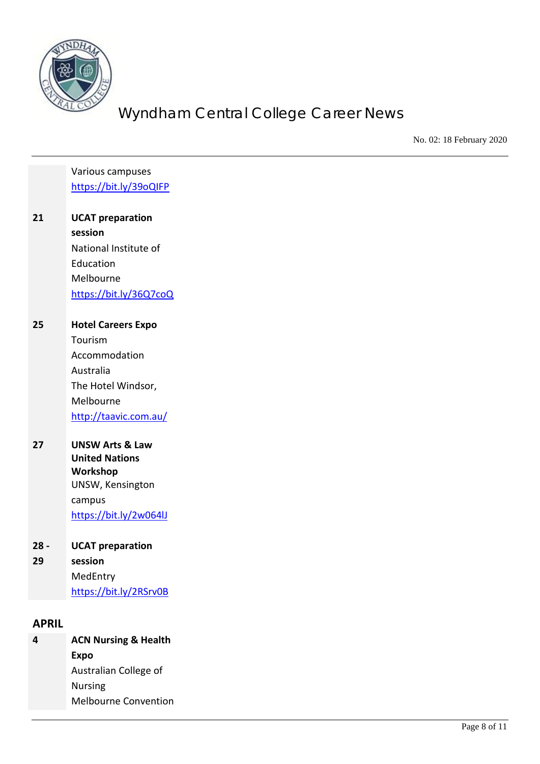

No. 02: 18 February 2020

Various campuses <https://bit.ly/39oQIFP>

**21 UCAT preparation session** National Institute of Education Melbourne <https://bit.ly/36Q7coQ>

**25 Hotel Careers Expo** Tourism Accommodation Australia The Hotel Windsor, Melbourne <http://taavic.com.au/>

**27 UNSW Arts & Law United Nations Workshop** UNSW, Kensington campus <https://bit.ly/2w064lJ>

| $28 -$ | <b>UCAT preparation</b> |
|--------|-------------------------|
| 29     | session                 |
|        | MedEntry                |
|        | https://bit.ly/2RSrv0B  |

#### **APRIL**

**4 ACN Nursing & Health Expo** Australian College of Nursing Melbourne Convention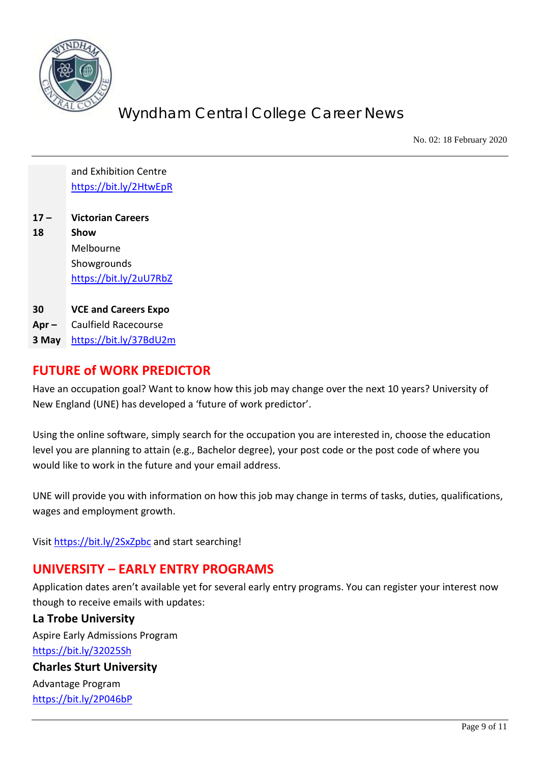

No. 02: 18 February 2020

and Exhibition Centre <https://bit.ly/2HtwEpR>

- **17 – 18 Victorian Careers Show** Melbourne Showgrounds <https://bit.ly/2uU7RbZ>
- **30 VCE and Careers Expo**
- **Apr –** Caulfield Racecourse
- **3 May** <https://bit.ly/37BdU2m>

## **FUTURE of WORK PREDICTOR**

Have an occupation goal? Want to know how this job may change over the next 10 years? University of New England (UNE) has developed a 'future of work predictor'.

Using the online software, simply search for the occupation you are interested in, choose the education level you are planning to attain (e.g., Bachelor degree), your post code or the post code of where you would like to work in the future and your email address.

UNE will provide you with information on how this job may change in terms of tasks, duties, qualifications, wages and employment growth.

Visi[t https://bit.ly/2SxZpbc](https://bit.ly/2SxZpbc) and start searching!

# **UNIVERSITY – EARLY ENTRY PROGRAMS**

Application dates aren't available yet for several early entry programs. You can register your interest now though to receive emails with updates:

#### **La Trobe University**

Aspire Early Admissions Program <https://bit.ly/32025Sh>

# **Charles Sturt University**

Advantage Program <https://bit.ly/2P046bP>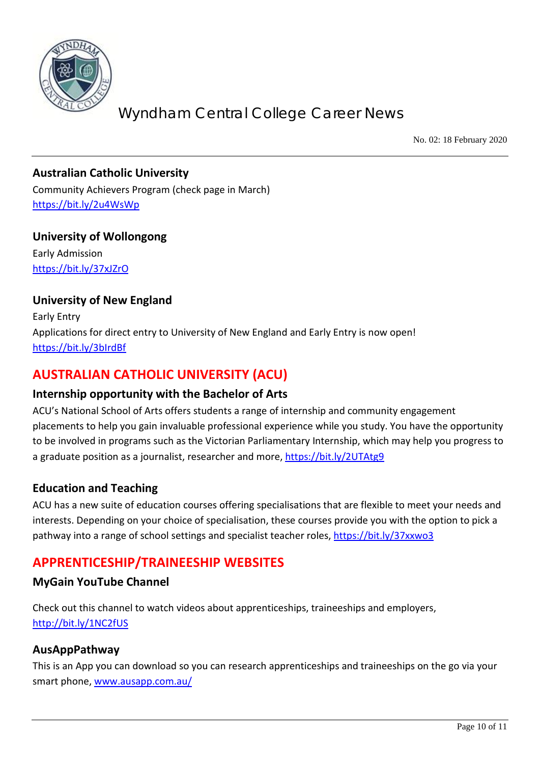

No. 02: 18 February 2020

#### **Australian Catholic University**

Community Achievers Program (check page in March) <https://bit.ly/2u4WsWp>

**University of Wollongong** Early Admission <https://bit.ly/37xJZrO>

#### **University of New England**

Early Entry Applications for direct entry to University of New England and Early Entry is now open! <https://bit.ly/3bIrdBf>

## **AUSTRALIAN CATHOLIC UNIVERSITY (ACU)**

#### **Internship opportunity with the Bachelor of Arts**

ACU's National School of Arts offers students a range of internship and community engagement placements to help you gain invaluable professional experience while you study. You have the opportunity to be involved in programs such as the Victorian Parliamentary Internship, which may help you progress to a graduate position as a journalist, researcher and more,<https://bit.ly/2UTAtg9>

#### **Education and Teaching**

ACU has a new suite of education courses offering specialisations that are flexible to meet your needs and interests. Depending on your choice of specialisation, these courses provide you with the option to pick a pathway into a range of school settings and specialist teacher roles,<https://bit.ly/37xxwo3>

## **APPRENTICESHIP/TRAINEESHIP WEBSITES**

#### **MyGain YouTube Channel**

Check out this channel to watch videos about apprenticeships, traineeships and employers, <http://bit.ly/1NC2fUS>

#### **AusAppPathway**

This is an App you can download so you can research apprenticeships and traineeships on the go via your smart phone, [www.ausapp.com.au/](http://www.ausapp.com.au/)